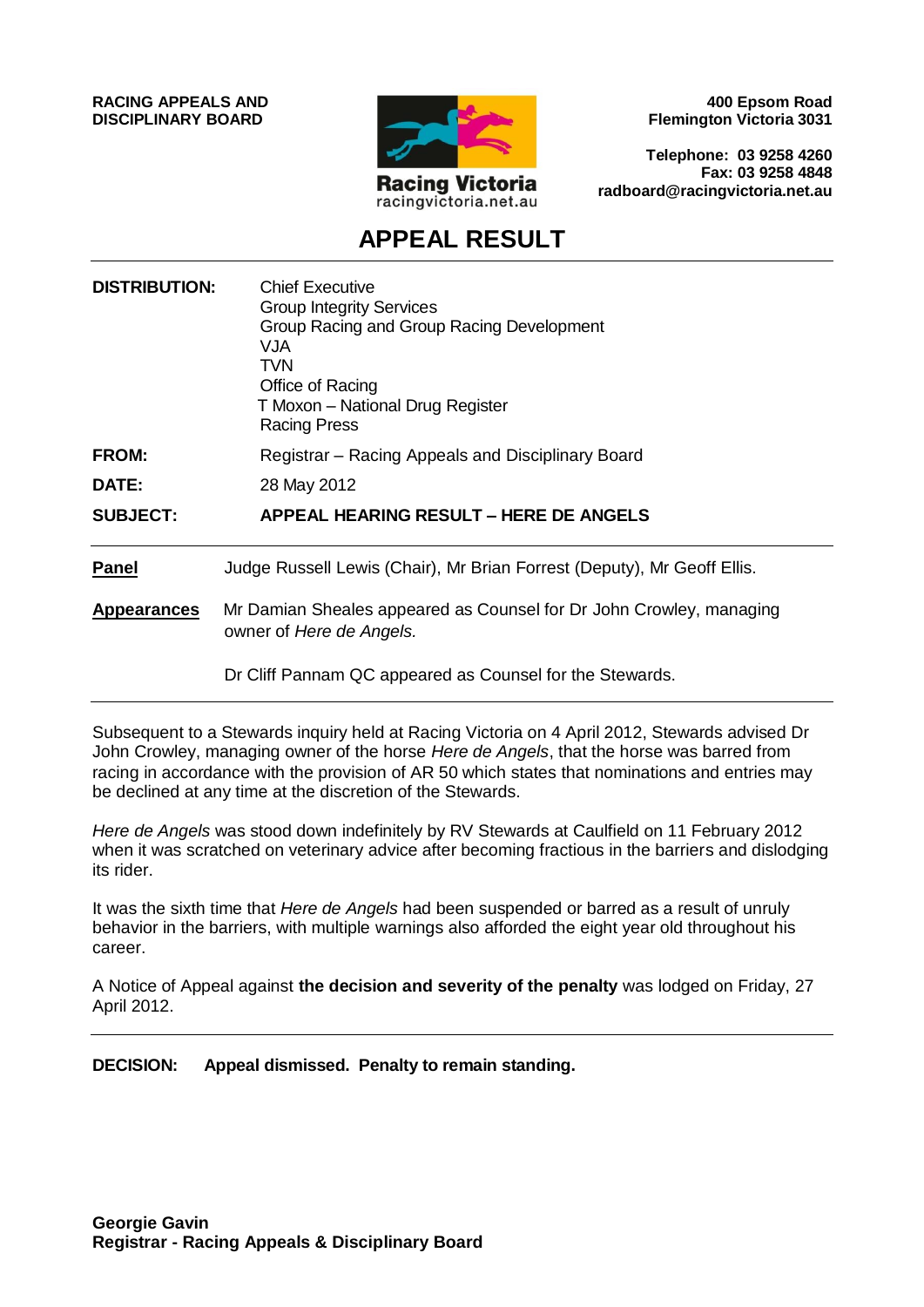**RACING APPEALS AND DISCIPLINARY BOARD**



**400 Epsom Road Flemington Victoria 3031**

**Telephone: 03 9258 4260 Fax: 03 9258 4848 radboard@racingvictoria.net.au**

# **APPEAL RESULT**

| <b>DISTRIBUTION:</b> | <b>Chief Executive</b><br><b>Group Integrity Services</b><br>Group Racing and Group Racing Development<br><b>VJA</b><br><b>TVN</b><br>Office of Racing<br>T Moxon - National Drug Register<br><b>Racing Press</b> |
|----------------------|-------------------------------------------------------------------------------------------------------------------------------------------------------------------------------------------------------------------|
| <b>FROM:</b>         | Registrar - Racing Appeals and Disciplinary Board                                                                                                                                                                 |
| DATE:                | 28 May 2012                                                                                                                                                                                                       |
| <b>SUBJECT:</b>      | <b>APPEAL HEARING RESULT - HERE DE ANGELS</b>                                                                                                                                                                     |
| <b>Panel</b>         | Judge Russell Lewis (Chair), Mr Brian Forrest (Deputy), Mr Geoff Ellis.                                                                                                                                           |
| <b>Appearances</b>   | Mr Damian Sheales appeared as Counsel for Dr John Crowley, managing<br>owner of Here de Angels.                                                                                                                   |
|                      | Dr Cliff Pannam QC appeared as Counsel for the Stewards.                                                                                                                                                          |

Subsequent to a Stewards inquiry held at Racing Victoria on 4 April 2012, Stewards advised Dr John Crowley, managing owner of the horse *Here de Angels*, that the horse was barred from racing in accordance with the provision of AR 50 which states that nominations and entries may be declined at any time at the discretion of the Stewards.

*Here de Angels* was stood down indefinitely by RV Stewards at Caulfield on 11 February 2012 when it was scratched on veterinary advice after becoming fractious in the barriers and dislodging its rider.

It was the sixth time that *Here de Angels* had been suspended or barred as a result of unruly behavior in the barriers, with multiple warnings also afforded the eight year old throughout his career.

A Notice of Appeal against **the decision and severity of the penalty** was lodged on Friday, 27 April 2012.

**DECISION: Appeal dismissed. Penalty to remain standing.**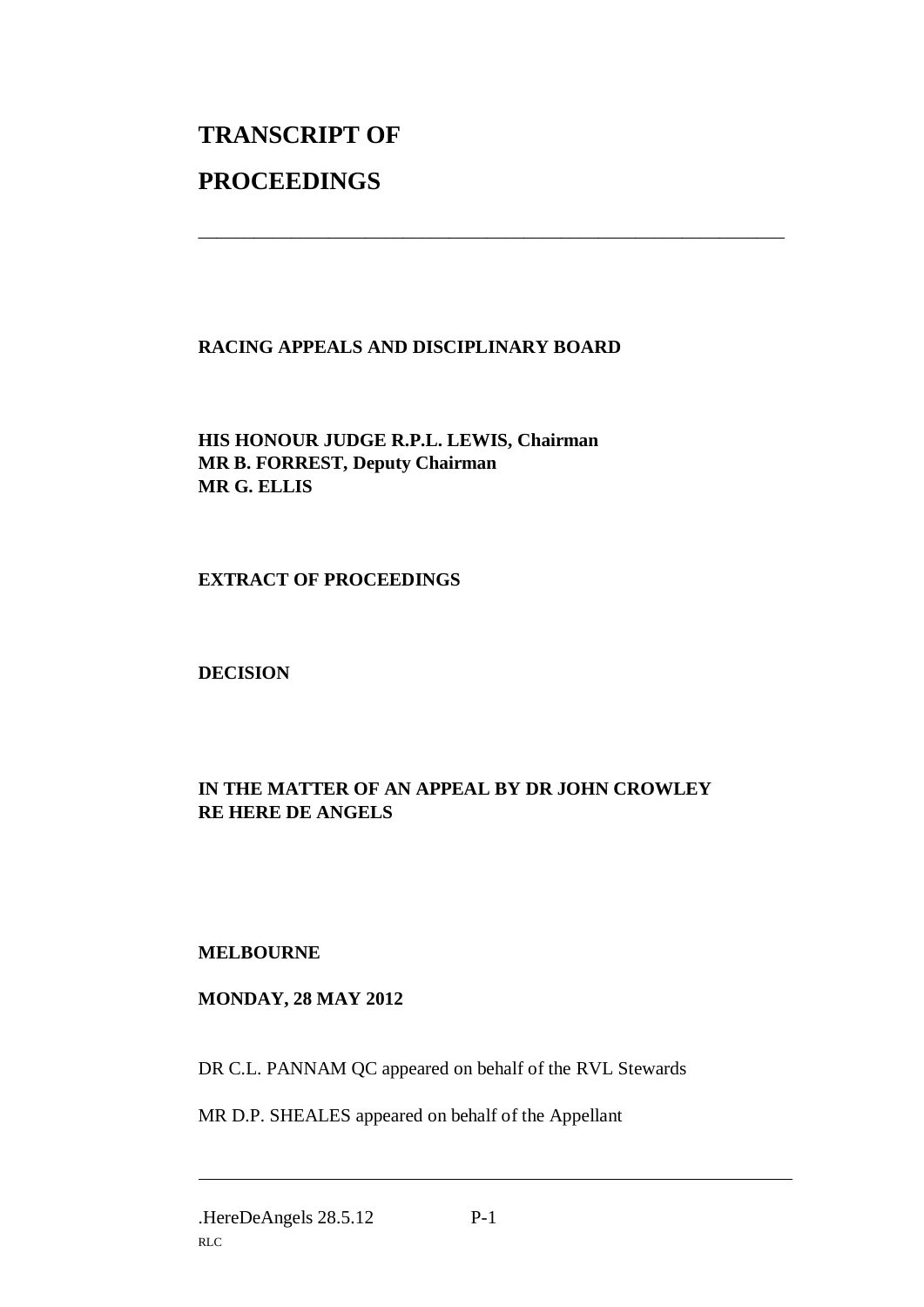# **TRANSCRIPT OF PROCEEDINGS**

#### **RACING APPEALS AND DISCIPLINARY BOARD**

\_\_\_\_\_\_\_\_\_\_\_\_\_\_\_\_\_\_\_\_\_\_\_\_\_\_\_\_\_\_\_\_\_\_\_\_\_\_\_\_\_\_\_\_\_\_\_\_\_\_\_\_\_\_\_\_\_\_\_\_\_\_\_

**HIS HONOUR JUDGE R.P.L. LEWIS, Chairman MR B. FORREST, Deputy Chairman MR G. ELLIS**

**EXTRACT OF PROCEEDINGS**

**DECISION**

# **IN THE MATTER OF AN APPEAL BY DR JOHN CROWLEY RE HERE DE ANGELS**

## **MELBOURNE**

## **MONDAY, 28 MAY 2012**

DR C.L. PANNAM QC appeared on behalf of the RVL Stewards

MR D.P. SHEALES appeared on behalf of the Appellant